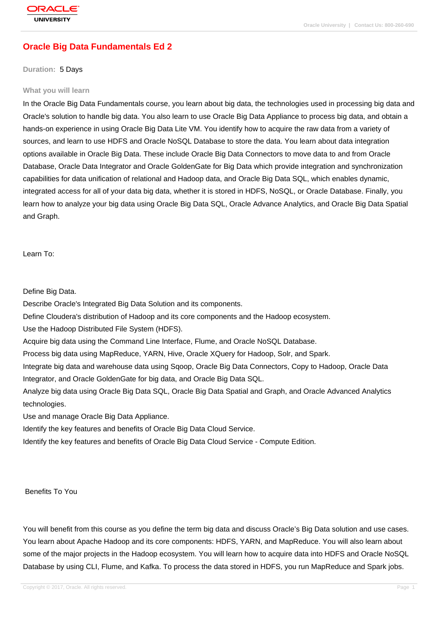# **[Oracle Big Dat](http://education.oracle.com/pls/web_prod-plq-dad/db_pages.getpage?page_id=3)a Fundamentals Ed 2**

#### **Duration:** 5 Days

#### **What you will learn**

In the Oracle Big Data Fundamentals course, you learn about big data, the technologies used in processing big data and Oracle's solution to handle big data. You also learn to use Oracle Big Data Appliance to process big data, and obtain a hands-on experience in using Oracle Big Data Lite VM. You identify how to acquire the raw data from a variety of sources, and learn to use HDFS and Oracle NoSQL Database to store the data. You learn about data integration options available in Oracle Big Data. These include Oracle Big Data Connectors to move data to and from Oracle Database, Oracle Data Integrator and Oracle GoldenGate for Big Data which provide integration and synchronization capabilities for data unification of relational and Hadoop data, and Oracle Big Data SQL, which enables dynamic, integrated access for all of your data big data, whether it is stored in HDFS, NoSQL, or Oracle Database. Finally, you learn how to analyze your big data using Oracle Big Data SQL, Oracle Advance Analytics, and Oracle Big Data Spatial and Graph.

Learn To:

Define Big Data.

Describe Oracle's Integrated Big Data Solution and its components.

Define Cloudera's distribution of Hadoop and its core components and the Hadoop ecosystem.

Use the Hadoop Distributed File System (HDFS).

Acquire big data using the Command Line Interface, Flume, and Oracle NoSQL Database.

Process big data using MapReduce, YARN, Hive, Oracle XQuery for Hadoop, Solr, and Spark.

Integrate big data and warehouse data using Sqoop, Oracle Big Data Connectors, Copy to Hadoop, Oracle Data Integrator, and Oracle GoldenGate for big data, and Oracle Big Data SQL.

Analyze big data using Oracle Big Data SQL, Oracle Big Data Spatial and Graph, and Oracle Advanced Analytics technologies.

Use and manage Oracle Big Data Appliance.

Identify the key features and benefits of Oracle Big Data Cloud Service.

Identify the key features and benefits of Oracle Big Data Cloud Service - Compute Edition.

Benefits To You

You will benefit from this course as you define the term big data and discuss Oracle's Big Data solution and use cases. You learn about Apache Hadoop and its core components: HDFS, YARN, and MapReduce. You will also learn about some of the major projects in the Hadoop ecosystem. You will learn how to acquire data into HDFS and Oracle NoSQL Database by using CLI, Flume, and Kafka. To process the data stored in HDFS, you run MapReduce and Spark jobs.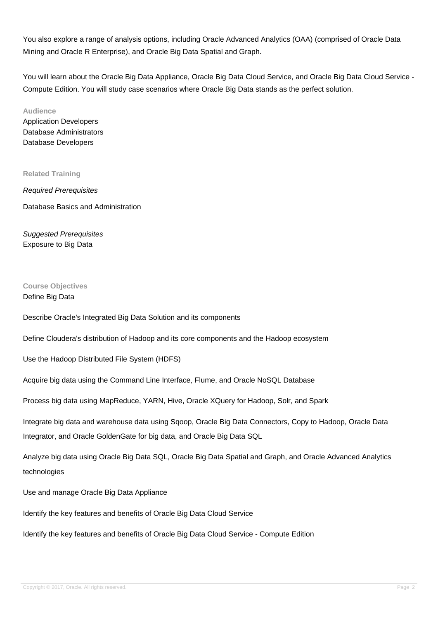You also explore a range of analysis options, including Oracle Advanced Analytics (OAA) (comprised of Oracle Data Mining and Oracle R Enterprise), and Oracle Big Data Spatial and Graph.

You will learn about the Oracle Big Data Appliance, Oracle Big Data Cloud Service, and Oracle Big Data Cloud Service -Compute Edition. You will study case scenarios where Oracle Big Data stands as the perfect solution.

**Audience** Application Developers Database Administrators Database Developers

**Related Training**

Required Prerequisites Database Basics and Administration

Suggested Prerequisites Exposure to Big Data

# **Course Objectives**

Define Big Data

Describe Oracle's Integrated Big Data Solution and its components

Define Cloudera's distribution of Hadoop and its core components and the Hadoop ecosystem

Use the Hadoop Distributed File System (HDFS)

Acquire big data using the Command Line Interface, Flume, and Oracle NoSQL Database

Process big data using MapReduce, YARN, Hive, Oracle XQuery for Hadoop, Solr, and Spark

Integrate big data and warehouse data using Sqoop, Oracle Big Data Connectors, Copy to Hadoop, Oracle Data Integrator, and Oracle GoldenGate for big data, and Oracle Big Data SQL

Analyze big data using Oracle Big Data SQL, Oracle Big Data Spatial and Graph, and Oracle Advanced Analytics technologies

Use and manage Oracle Big Data Appliance

Identify the key features and benefits of Oracle Big Data Cloud Service

Identify the key features and benefits of Oracle Big Data Cloud Service - Compute Edition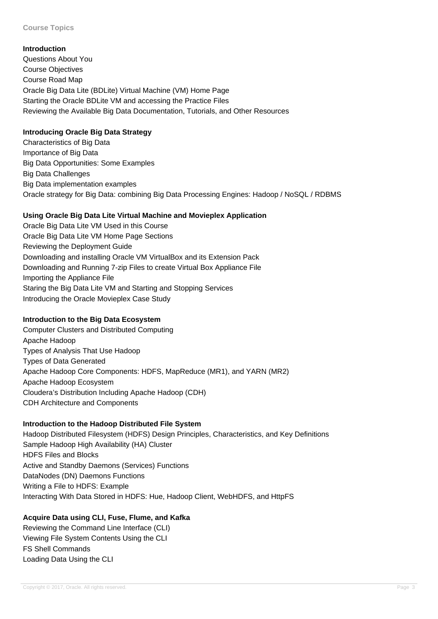### **Introduction**

Questions About You Course Objectives Course Road Map Oracle Big Data Lite (BDLite) Virtual Machine (VM) Home Page Starting the Oracle BDLite VM and accessing the Practice Files Reviewing the Available Big Data Documentation, Tutorials, and Other Resources

## **Introducing Oracle Big Data Strategy**

Characteristics of Big Data Importance of Big Data Big Data Opportunities: Some Examples Big Data Challenges Big Data implementation examples Oracle strategy for Big Data: combining Big Data Processing Engines: Hadoop / NoSQL / RDBMS

## **Using Oracle Big Data Lite Virtual Machine and Movieplex Application**

Oracle Big Data Lite VM Used in this Course Oracle Big Data Lite VM Home Page Sections Reviewing the Deployment Guide Downloading and installing Oracle VM VirtualBox and its Extension Pack Downloading and Running 7-zip Files to create Virtual Box Appliance File Importing the Appliance File Staring the Big Data Lite VM and Starting and Stopping Services Introducing the Oracle Movieplex Case Study

## **Introduction to the Big Data Ecosystem**

Computer Clusters and Distributed Computing Apache Hadoop Types of Analysis That Use Hadoop Types of Data Generated Apache Hadoop Core Components: HDFS, MapReduce (MR1), and YARN (MR2) Apache Hadoop Ecosystem Cloudera's Distribution Including Apache Hadoop (CDH) CDH Architecture and Components

## **Introduction to the Hadoop Distributed File System**

Hadoop Distributed Filesystem (HDFS) Design Principles, Characteristics, and Key Definitions Sample Hadoop High Availability (HA) Cluster HDFS Files and Blocks Active and Standby Daemons (Services) Functions DataNodes (DN) Daemons Functions Writing a File to HDFS: Example Interacting With Data Stored in HDFS: Hue, Hadoop Client, WebHDFS, and HttpFS

# **Acquire Data using CLI, Fuse, Flume, and Kafka**

Reviewing the Command Line Interface (CLI) Viewing File System Contents Using the CLI FS Shell Commands Loading Data Using the CLI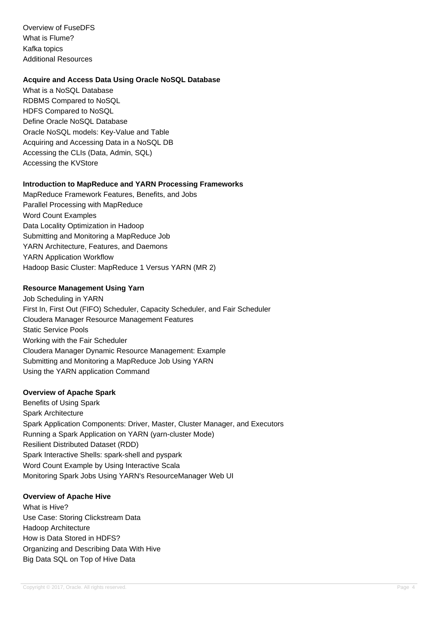Overview of FuseDFS What is Flume? Kafka topics Additional Resources

#### **Acquire and Access Data Using Oracle NoSQL Database**

What is a NoSQL Database RDBMS Compared to NoSQL HDFS Compared to NoSQL Define Oracle NoSQL Database Oracle NoSQL models: Key-Value and Table Acquiring and Accessing Data in a NoSQL DB Accessing the CLIs (Data, Admin, SQL) Accessing the KVStore

### **Introduction to MapReduce and YARN Processing Frameworks**

MapReduce Framework Features, Benefits, and Jobs Parallel Processing with MapReduce Word Count Examples Data Locality Optimization in Hadoop Submitting and Monitoring a MapReduce Job YARN Architecture, Features, and Daemons YARN Application Workflow Hadoop Basic Cluster: MapReduce 1 Versus YARN (MR 2)

#### **Resource Management Using Yarn**

Job Scheduling in YARN First In, First Out (FIFO) Scheduler, Capacity Scheduler, and Fair Scheduler Cloudera Manager Resource Management Features Static Service Pools Working with the Fair Scheduler Cloudera Manager Dynamic Resource Management: Example Submitting and Monitoring a MapReduce Job Using YARN Using the YARN application Command

#### **Overview of Apache Spark**

Benefits of Using Spark Spark Architecture Spark Application Components: Driver, Master, Cluster Manager, and Executors Running a Spark Application on YARN (yarn-cluster Mode) Resilient Distributed Dataset (RDD) Spark Interactive Shells: spark-shell and pyspark Word Count Example by Using Interactive Scala Monitoring Spark Jobs Using YARN's ResourceManager Web UI

#### **Overview of Apache Hive**

What is Hive? Use Case: Storing Clickstream Data Hadoop Architecture How is Data Stored in HDFS? Organizing and Describing Data With Hive Big Data SQL on Top of Hive Data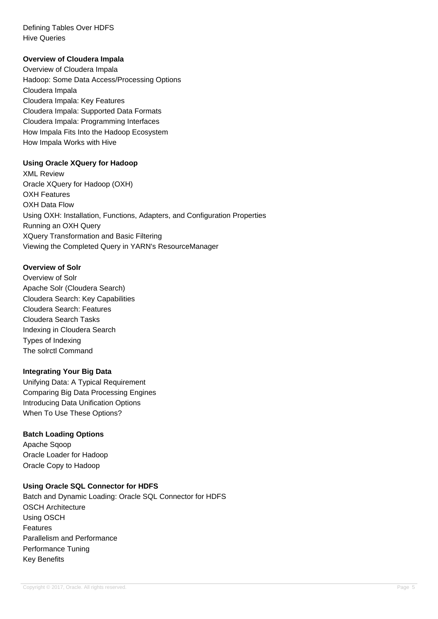Defining Tables Over HDFS Hive Queries

#### **Overview of Cloudera Impala**

Overview of Cloudera Impala Hadoop: Some Data Access/Processing Options Cloudera Impala Cloudera Impala: Key Features Cloudera Impala: Supported Data Formats Cloudera Impala: Programming Interfaces How Impala Fits Into the Hadoop Ecosystem How Impala Works with Hive

### **Using Oracle XQuery for Hadoop**

XML Review Oracle XQuery for Hadoop (OXH) OXH Features OXH Data Flow Using OXH: Installation, Functions, Adapters, and Configuration Properties Running an OXH Query XQuery Transformation and Basic Filtering Viewing the Completed Query in YARN's ResourceManager

#### **Overview of Solr**

Overview of Solr Apache Solr (Cloudera Search) Cloudera Search: Key Capabilities Cloudera Search: Features Cloudera Search Tasks Indexing in Cloudera Search Types of Indexing The solrctl Command

#### **Integrating Your Big Data**

Unifying Data: A Typical Requirement Comparing Big Data Processing Engines Introducing Data Unification Options When To Use These Options?

#### **Batch Loading Options**

Apache Sqoop Oracle Loader for Hadoop Oracle Copy to Hadoop

### **Using Oracle SQL Connector for HDFS**

Batch and Dynamic Loading: Oracle SQL Connector for HDFS OSCH Architecture Using OSCH Features Parallelism and Performance Performance Tuning Key Benefits